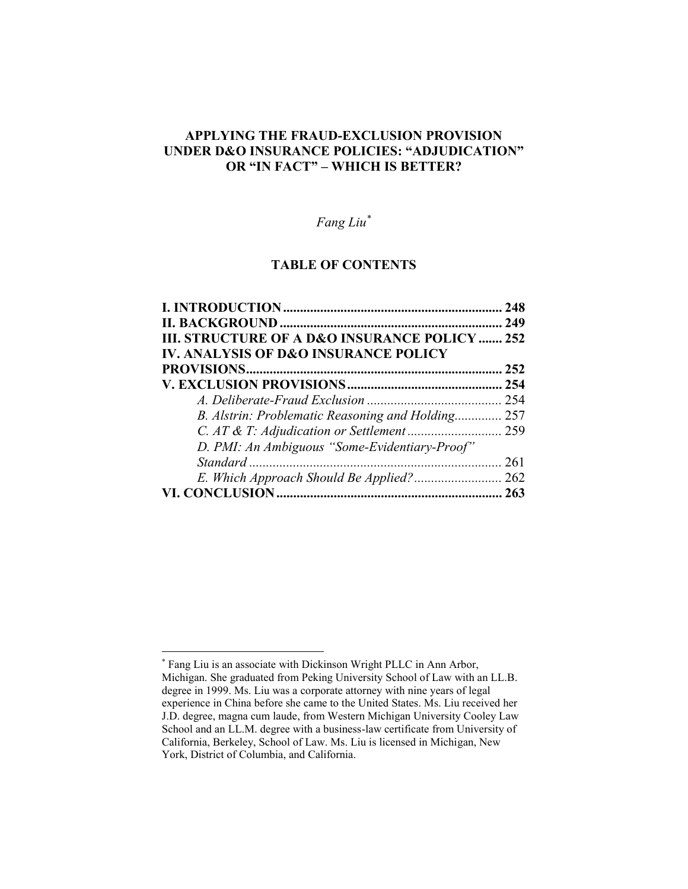## **APPLYING THE FRAUD-EXCLUSION PROVISION UNDER D&O INSURANCE POLICIES: "ADJUDICATION" OR "IN FACT" – WHICH IS BETTER?**

# *Fang Liu\**

### **TABLE OF CONTENTS**

|                                                     | 248 |
|-----------------------------------------------------|-----|
|                                                     | 249 |
| <b>III. STRUCTURE OF A D&amp;O INSURANCE POLICY</b> | 252 |
| <b>IV. ANALYSIS OF D&amp;O INSURANCE POLICY</b>     |     |
|                                                     | 252 |
|                                                     |     |
|                                                     |     |
| B. Alstrin: Problematic Reasoning and Holding 257   |     |
|                                                     |     |
| D. PMI: An Ambiguous "Some-Evidentiary-Proof"       |     |
|                                                     |     |
|                                                     |     |
|                                                     |     |

 $\overline{a}$ \* Fang Liu is an associate with Dickinson Wright PLLC in Ann Arbor, Michigan. She graduated from Peking University School of Law with an LL.B. degree in 1999. Ms. Liu was a corporate attorney with nine years of legal experience in China before she came to the United States. Ms. Liu received her J.D. degree, magna cum laude, from Western Michigan University Cooley Law School and an LL.M. degree with a business-law certificate from University of California, Berkeley, School of Law. Ms. Liu is licensed in Michigan, New York, District of Columbia, and California.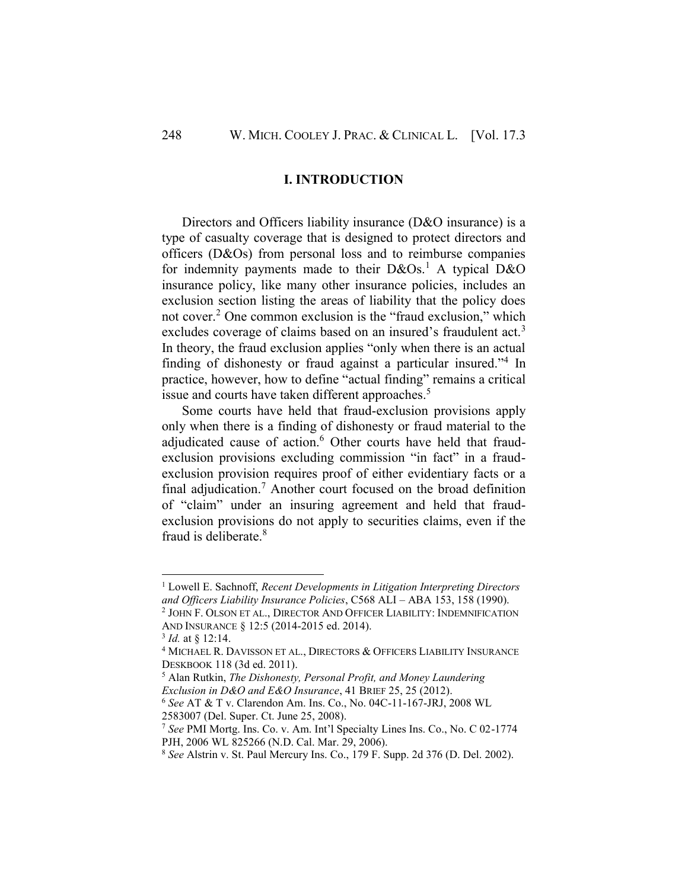#### **I. INTRODUCTION**

<span id="page-1-0"></span>Directors and Officers liability insurance (D&O insurance) is a type of casualty coverage that is designed to protect directors and officers (D&Os) from personal loss and to reimburse companies for indemnity payments made to their  $D&Os<sup>1</sup>$ . A typical  $D&O$ insurance policy, like many other insurance policies, includes an exclusion section listing the areas of liability that the policy does not cover.<sup>2</sup> One common exclusion is the "fraud exclusion," which excludes coverage of claims based on an insured's fraudulent act.<sup>3</sup> In theory, the fraud exclusion applies "only when there is an actual finding of dishonesty or fraud against a particular insured."<sup>4</sup> In practice, however, how to define "actual finding" remains a critical issue and courts have taken different approaches.<sup>5</sup>

Some courts have held that fraud-exclusion provisions apply only when there is a finding of dishonesty or fraud material to the adjudicated cause of action.<sup>6</sup> Other courts have held that fraudexclusion provisions excluding commission "in fact" in a fraudexclusion provision requires proof of either evidentiary facts or a final adjudication.<sup>7</sup> Another court focused on the broad definition of "claim" under an insuring agreement and held that fraudexclusion provisions do not apply to securities claims, even if the fraud is deliberate<sup>8</sup>

<sup>1</sup> Lowell E. Sachnoff, *Recent Developments in Litigation Interpreting Directors and Officers Liability Insurance Policies*, C568 ALI – ABA 153, 158 (1990).

<sup>2</sup> JOHN F. OLSON ET AL., DIRECTOR AND OFFICER LIABILITY: INDEMNIFICATION AND INSURANCE § 12:5 (2014-2015 ed. 2014).

<sup>3</sup> *Id.* at § 12:14.

<sup>&</sup>lt;sup>4</sup> MICHAEL R. DAVISSON ET AL., DIRECTORS & OFFICERS LIABILITY INSURANCE DESKBOOK 118 (3d ed. 2011).

<sup>5</sup> Alan Rutkin, *The Dishonesty, Personal Profit, and Money Laundering Exclusion in D&O and E&O Insurance*, 41 BRIEF 25, 25 (2012).

<sup>6</sup> *See* AT & T v. Clarendon Am. Ins. Co., No. 04C-11-167-JRJ, 2008 WL 2583007 (Del. Super. Ct. June 25, 2008).

<sup>7</sup> *See* PMI Mortg. Ins. Co. v. Am. Int'l Specialty Lines Ins. Co., No. C 02-1774 PJH, 2006 WL 825266 (N.D. Cal. Mar. 29, 2006).

<sup>8</sup> *See* Alstrin v. St. Paul Mercury Ins. Co., 179 F. Supp. 2d 376 (D. Del. 2002).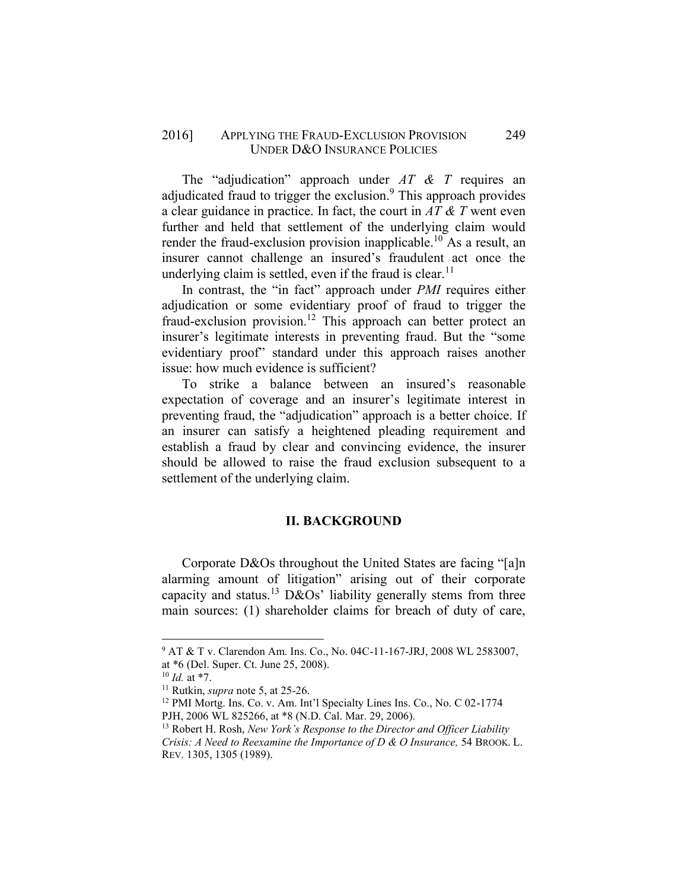### 2016] APPLYING THE FRAUD-EXCLUSION PROVISION 249 UNDER D&O INSURANCE POLICIES

The "adjudication" approach under *AT & T* requires an adjudicated fraud to trigger the exclusion.<sup>9</sup> This approach provides a clear guidance in practice. In fact, the court in *AT & T* went even further and held that settlement of the underlying claim would render the fraud-exclusion provision inapplicable.<sup>10</sup> As a result, an insurer cannot challenge an insured's fraudulent act once the underlying claim is settled, even if the fraud is clear.<sup>11</sup>

In contrast, the "in fact" approach under *PMI* requires either adjudication or some evidentiary proof of fraud to trigger the fraud-exclusion provision.<sup>12</sup> This approach can better protect an insurer's legitimate interests in preventing fraud. But the "some evidentiary proof" standard under this approach raises another issue: how much evidence is sufficient?

To strike a balance between an insured's reasonable expectation of coverage and an insurer's legitimate interest in preventing fraud, the "adjudication" approach is a better choice. If an insurer can satisfy a heightened pleading requirement and establish a fraud by clear and convincing evidence, the insurer should be allowed to raise the fraud exclusion subsequent to a settlement of the underlying claim.

#### **II. BACKGROUND**

<span id="page-2-0"></span>Corporate D&Os throughout the United States are facing "[a]n alarming amount of litigation" arising out of their corporate capacity and status.<sup>13</sup> D&Os' liability generally stems from three main sources: (1) shareholder claims for breach of duty of care,

<sup>9</sup> AT & T v. Clarendon Am. Ins. Co., No. 04C-11-167-JRJ, 2008 WL 2583007, at \*6 (Del. Super. Ct. June 25, 2008).

<sup>10</sup> *Id.* at \*7.

<sup>11</sup> Rutkin, *supra* note 5, at 25-26.

<sup>12</sup> PMI Mortg. Ins. Co. v. Am. Int'l Specialty Lines Ins. Co., No. C 02-1774

PJH, 2006 WL 825266, at \*8 (N.D. Cal. Mar. 29, 2006).

<sup>13</sup> Robert H. Rosh, *New York's Response to the Director and Officer Liability Crisis: A Need to Reexamine the Importance of D & O Insurance,* 54 BROOK. L. REV. 1305, 1305 (1989).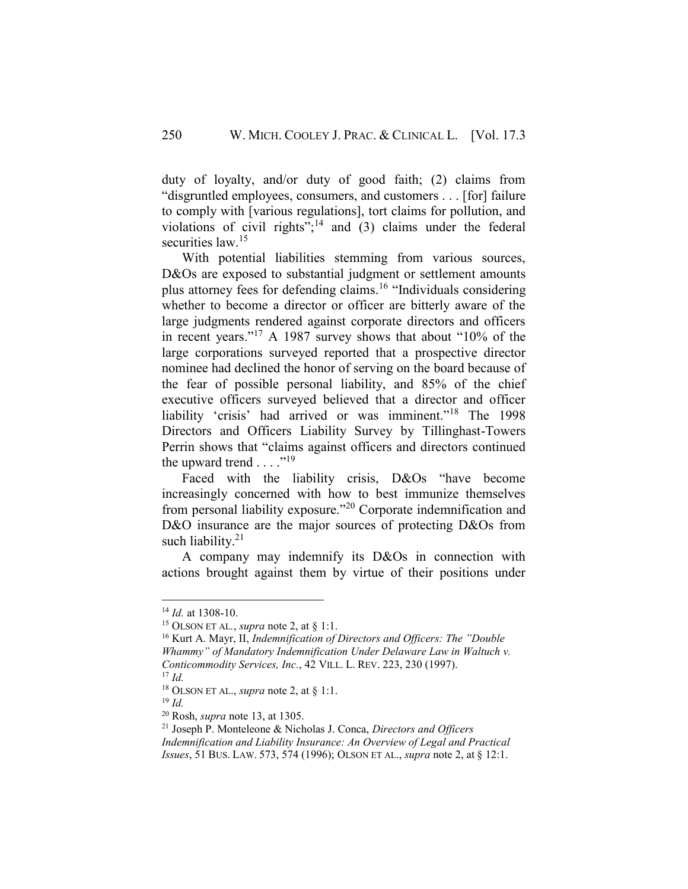duty of loyalty, and/or duty of good faith; (2) claims from "disgruntled employees, consumers, and customers . . . [for] failure to comply with [various regulations], tort claims for pollution, and violations of civil rights"; $^{14}$  and (3) claims under the federal securities law  $15$ 

With potential liabilities stemming from various sources, D&Os are exposed to substantial judgment or settlement amounts plus attorney fees for defending claims.<sup>16</sup> "Individuals considering whether to become a director or officer are bitterly aware of the large judgments rendered against corporate directors and officers in recent years." <sup>17</sup> A 1987 survey shows that about "10% of the large corporations surveyed reported that a prospective director nominee had declined the honor of serving on the board because of the fear of possible personal liability, and 85% of the chief executive officers surveyed believed that a director and officer liability 'crisis' had arrived or was imminent."<sup>18</sup> The 1998 Directors and Officers Liability Survey by Tillinghast-Towers Perrin shows that "claims against officers and directors continued the upward trend  $\dots$ ."<sup>19</sup>

Faced with the liability crisis, D&Os "have become increasingly concerned with how to best immunize themselves from personal liability exposure."<sup>20</sup> Corporate indemnification and D&O insurance are the major sources of protecting D&Os from such liability. $21$ 

A company may indemnify its D&Os in connection with actions brought against them by virtue of their positions under

<sup>14</sup> *Id.* at 1308-10.

<sup>15</sup> OLSON ET AL*.*, *supra* note 2, at § 1:1.

<sup>16</sup> Kurt A. Mayr, II, *Indemnification of Directors and Officers: The "Double Whammy" of Mandatory Indemnification Under Delaware Law in Waltuch v. Conticommodity Services, Inc.*, 42 VILL. L. REV. 223, 230 (1997). <sup>17</sup> *Id.*

<sup>18</sup> OLSON ET AL., *supra* note 2, at § 1:1.

<sup>19</sup> *Id.*

<sup>20</sup> Rosh, *supra* note 13, at 1305.

<sup>21</sup> Joseph P. Monteleone & Nicholas J. Conca, *Directors and Officers Indemnification and Liability Insurance: An Overview of Legal and Practical Issues*, 51 BUS. LAW. 573, 574 (1996); OLSON ET AL., *supra* note 2, at § 12:1.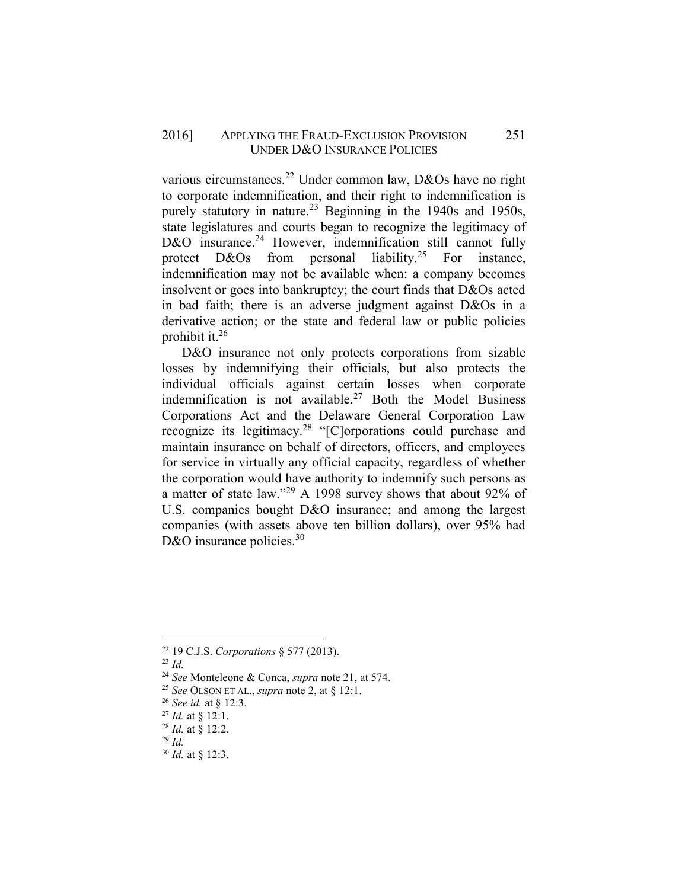various circumstances.<sup>22</sup> Under common law, D&Os have no right to corporate indemnification, and their right to indemnification is purely statutory in nature.<sup>23</sup> Beginning in the 1940s and 1950s, state legislatures and courts began to recognize the legitimacy of D&O insurance.<sup>24</sup> However, indemnification still cannot fully protect  $D&Os$  from personal liability.<sup>25</sup> For instance, indemnification may not be available when: a company becomes insolvent or goes into bankruptcy; the court finds that D&Os acted in bad faith; there is an adverse judgment against D&Os in a derivative action; or the state and federal law or public policies prohibit it.<sup>26</sup>

D&O insurance not only protects corporations from sizable losses by indemnifying their officials, but also protects the individual officials against certain losses when corporate indemnification is not available.<sup>27</sup> Both the Model Business Corporations Act and the Delaware General Corporation Law recognize its legitimacy.<sup>28</sup> "[C]orporations could purchase and maintain insurance on behalf of directors, officers, and employees for service in virtually any official capacity, regardless of whether the corporation would have authority to indemnify such persons as a matter of state law."<sup>29</sup> A 1998 survey shows that about 92% of U.S. companies bought D&O insurance; and among the largest companies (with assets above ten billion dollars), over 95% had D&O insurance policies.  $30<sup>30</sup>$ 

l

<sup>30</sup> *Id.* at § 12:3.

<sup>22</sup> 19 C.J.S. *Corporations* § 577 (2013).

<sup>23</sup> *Id.*

<sup>24</sup> *See* Monteleone & Conca, *supra* note 21, at 574.

<sup>25</sup> *See* OLSON ET AL., *supra* note 2, at § 12:1.

<sup>26</sup> *See id.* at § 12:3.

<sup>27</sup> *Id.* at § 12:1.

<sup>28</sup> *Id.* at § 12:2.

<sup>29</sup> *Id.*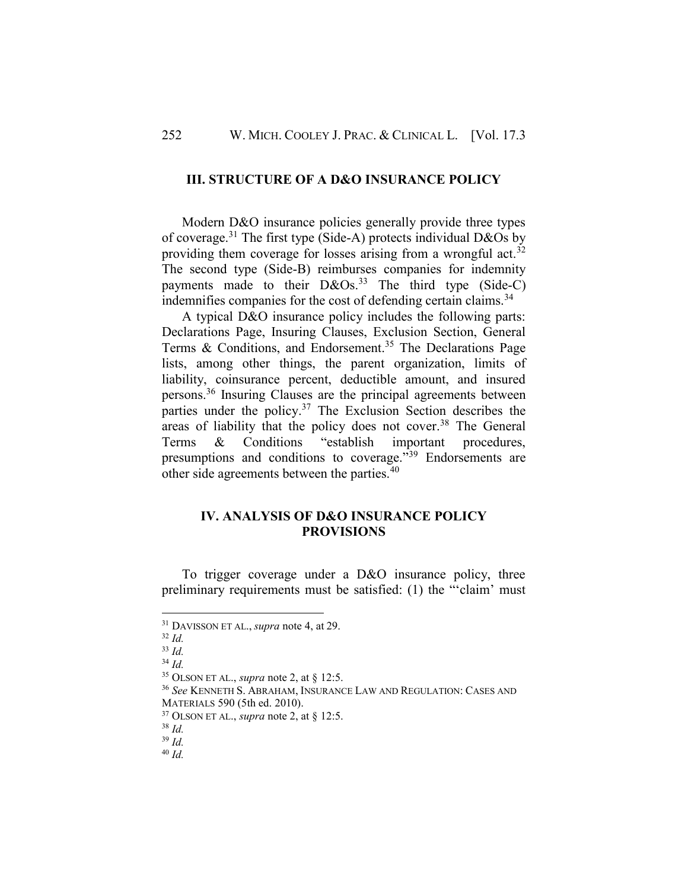#### <span id="page-5-0"></span>**III. STRUCTURE OF A D&O INSURANCE POLICY**

Modern D&O insurance policies generally provide three types of coverage.<sup>31</sup> The first type (Side-A) protects individual D&Os by providing them coverage for losses arising from a wrongful act.<sup>32</sup> The second type (Side-B) reimburses companies for indemnity payments made to their  $D&OS.<sup>33</sup>$  The third type (Side-C) indemnifies companies for the cost of defending certain claims.<sup>34</sup>

A typical D&O insurance policy includes the following parts: Declarations Page, Insuring Clauses, Exclusion Section, General Terms  $&$  Conditions, and Endorsement.<sup>35</sup> The Declarations Page lists, among other things, the parent organization, limits of liability, coinsurance percent, deductible amount, and insured persons.<sup>36</sup> Insuring Clauses are the principal agreements between parties under the policy.<sup>37</sup> The Exclusion Section describes the areas of liability that the policy does not cover.<sup>38</sup> The General Terms & Conditions "establish important procedures, presumptions and conditions to coverage."<sup>39</sup> Endorsements are other side agreements between the parties.<sup>40</sup>

### <span id="page-5-1"></span>**IV. ANALYSIS OF D&O INSURANCE POLICY PROVISIONS**

To trigger coverage under a D&O insurance policy, three preliminary requirements must be satisfied: (1) the "'claim' must

<sup>32</sup> *Id.*

<sup>31</sup> DAVISSON ET AL., *supra* note 4, at 29.

<sup>33</sup> *Id.*

<sup>34</sup> *Id.*

<sup>35</sup> OLSON ET AL., *supra* note 2, at § 12:5.

<sup>36</sup> *See* KENNETH S. ABRAHAM, INSURANCE LAW AND REGULATION: CASES AND MATERIALS 590 (5th ed. 2010).

<sup>37</sup> OLSON ET AL., *supra* note 2, at § 12:5.

<sup>38</sup> *Id.*

<sup>39</sup> *Id.*

<sup>40</sup> *Id.*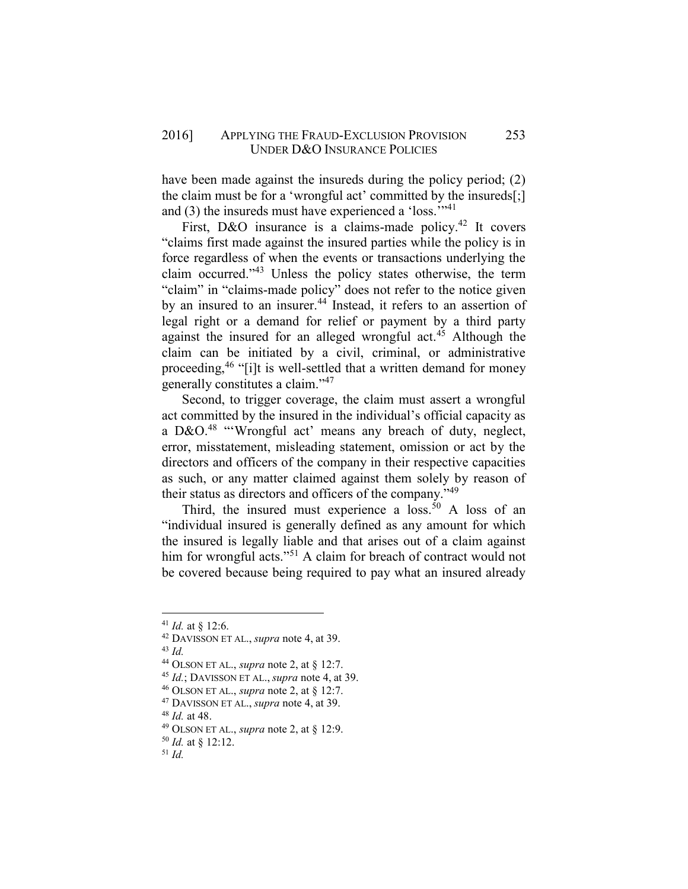#### 2016] APPLYING THE FRAUD-EXCLUSION PROVISION 253 UNDER D&O INSURANCE POLICIES

have been made against the insureds during the policy period; (2) the claim must be for a 'wrongful act' committed by the insureds[;] and (3) the insureds must have experienced a 'loss.'"<sup>41</sup>

First, D&O insurance is a claims-made policy.<sup>42</sup> It covers "claims first made against the insured parties while the policy is in force regardless of when the events or transactions underlying the claim occurred."<sup>43</sup> Unless the policy states otherwise, the term "claim" in "claims-made policy" does not refer to the notice given by an insured to an insurer.<sup>44</sup> Instead, it refers to an assertion of legal right or a demand for relief or payment by a third party against the insured for an alleged wrongful act.<sup>45</sup> Although the claim can be initiated by a civil, criminal, or administrative proceeding,<sup>46</sup> "[i]t is well-settled that a written demand for money generally constitutes a claim."<sup>47</sup>

Second, to trigger coverage, the claim must assert a wrongful act committed by the insured in the individual's official capacity as a D&O. $48$  "'Wrongful act' means any breach of duty, neglect, error, misstatement, misleading statement, omission or act by the directors and officers of the company in their respective capacities as such, or any matter claimed against them solely by reason of their status as directors and officers of the company."<sup>49</sup>

Third, the insured must experience a  $loss^{50}$ . A loss of an "individual insured is generally defined as any amount for which the insured is legally liable and that arises out of a claim against him for wrongful acts."<sup>51</sup> A claim for breach of contract would not be covered because being required to pay what an insured already

l

<sup>46</sup> OLSON ET AL., *supra* note 2, at § 12:7.

 $41$  *Id.* at \$12:6.

<sup>42</sup> DAVISSON ET AL., *supra* note 4, at 39.

<sup>43</sup> *Id.*

<sup>44</sup> OLSON ET AL., *supra* note 2, at § 12:7.

<sup>45</sup> *Id.*; DAVISSON ET AL., *supra* note 4, at 39.

<sup>47</sup> DAVISSON ET AL., *supra* note 4, at 39.

<sup>48</sup> *Id.* at 48.

<sup>49</sup> OLSON ET AL., *supra* note 2, at § 12:9.

<sup>50</sup> *Id.* at § 12:12.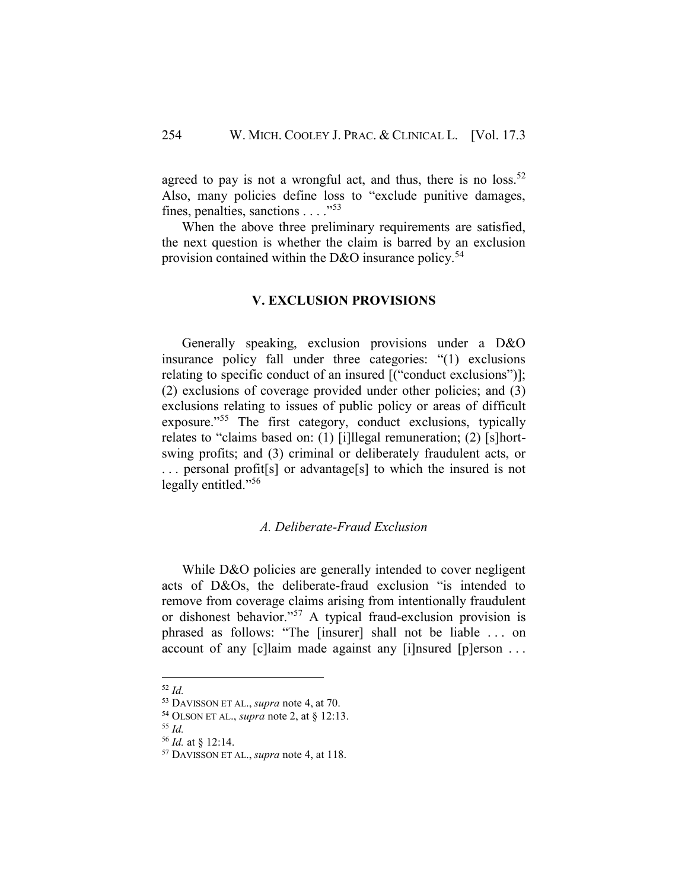agreed to pay is not a wrongful act, and thus, there is no loss.<sup>52</sup> Also, many policies define loss to "exclude punitive damages, fines, penalties, sanctions . . . ."<sup>53</sup>

<span id="page-7-0"></span>When the above three preliminary requirements are satisfied, the next question is whether the claim is barred by an exclusion provision contained within the D&O insurance policy.<sup>54</sup>

#### **V. EXCLUSION PROVISIONS**

Generally speaking, exclusion provisions under a D&O insurance policy fall under three categories: "(1) exclusions relating to specific conduct of an insured [("conduct exclusions")]; (2) exclusions of coverage provided under other policies; and (3) exclusions relating to issues of public policy or areas of difficult exposure."<sup>55</sup> The first category, conduct exclusions, typically relates to "claims based on: (1) [i]llegal remuneration; (2) [s]hortswing profits; and (3) criminal or deliberately fraudulent acts, or . . . personal profit[s] or advantage[s] to which the insured is not legally entitled."<sup>56</sup>

#### *A. Deliberate-Fraud Exclusion*

<span id="page-7-1"></span>While D&O policies are generally intended to cover negligent acts of D&Os, the deliberate-fraud exclusion "is intended to remove from coverage claims arising from intentionally fraudulent or dishonest behavior."<sup>57</sup> A typical fraud-exclusion provision is phrased as follows: "The [insurer] shall not be liable . . . on account of any [c]laim made against any [i]nsured [p]erson . . .

<sup>52</sup> *Id.*

<sup>53</sup> DAVISSON ET AL., *supra* note 4, at 70.

<sup>54</sup> OLSON ET AL., *supra* note 2, at § 12:13.

<sup>55</sup> *Id.*

<sup>56</sup> *Id.* at § 12:14.

<sup>57</sup> DAVISSON ET AL., *supra* note 4, at 118.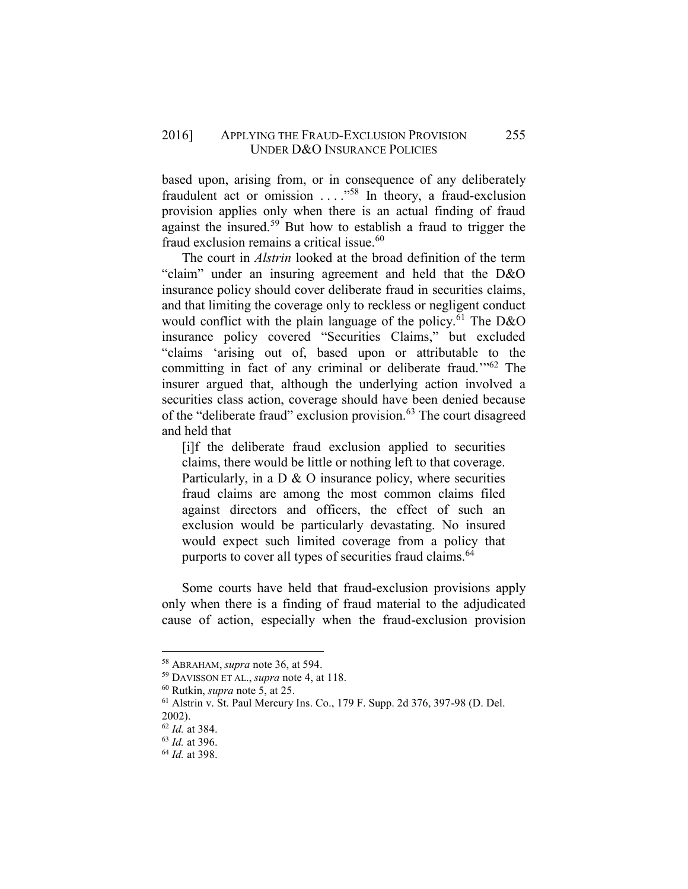### 2016] APPLYING THE FRAUD-EXCLUSION PROVISION 255 UNDER D&O INSURANCE POLICIES

based upon, arising from, or in consequence of any deliberately fraudulent act or omission  $\ldots$ ."<sup>58</sup> In theory, a fraud-exclusion provision applies only when there is an actual finding of fraud against the insured.<sup>59</sup> But how to establish a fraud to trigger the fraud exclusion remains a critical issue  $60$ 

The court in *Alstrin* looked at the broad definition of the term "claim" under an insuring agreement and held that the D&O insurance policy should cover deliberate fraud in securities claims, and that limiting the coverage only to reckless or negligent conduct would conflict with the plain language of the policy. $\overline{6}^1$  The D&O insurance policy covered "Securities Claims," but excluded "claims 'arising out of, based upon or attributable to the committing in fact of any criminal or deliberate fraud.'"<sup>62</sup> The insurer argued that, although the underlying action involved a securities class action, coverage should have been denied because of the "deliberate fraud" exclusion provision.<sup>63</sup> The court disagreed and held that

[i]f the deliberate fraud exclusion applied to securities claims, there would be little or nothing left to that coverage. Particularly, in a  $D \& O$  insurance policy, where securities fraud claims are among the most common claims filed against directors and officers, the effect of such an exclusion would be particularly devastating. No insured would expect such limited coverage from a policy that purports to cover all types of securities fraud claims.<sup>64</sup>

Some courts have held that fraud-exclusion provisions apply only when there is a finding of fraud material to the adjudicated cause of action, especially when the fraud-exclusion provision

 $\overline{a}$ 

<sup>58</sup> ABRAHAM, *supra* note 36, at 594.

<sup>59</sup> DAVISSON ET AL., *supra* note 4, at 118.

<sup>60</sup> Rutkin, *supra* note 5, at 25.

<sup>61</sup> Alstrin v. St. Paul Mercury Ins. Co., 179 F. Supp. 2d 376, 397-98 (D. Del. 2002).

<sup>62</sup> *Id.* at 384.

<sup>63</sup> *Id.* at 396.

<sup>64</sup> *Id.* at 398.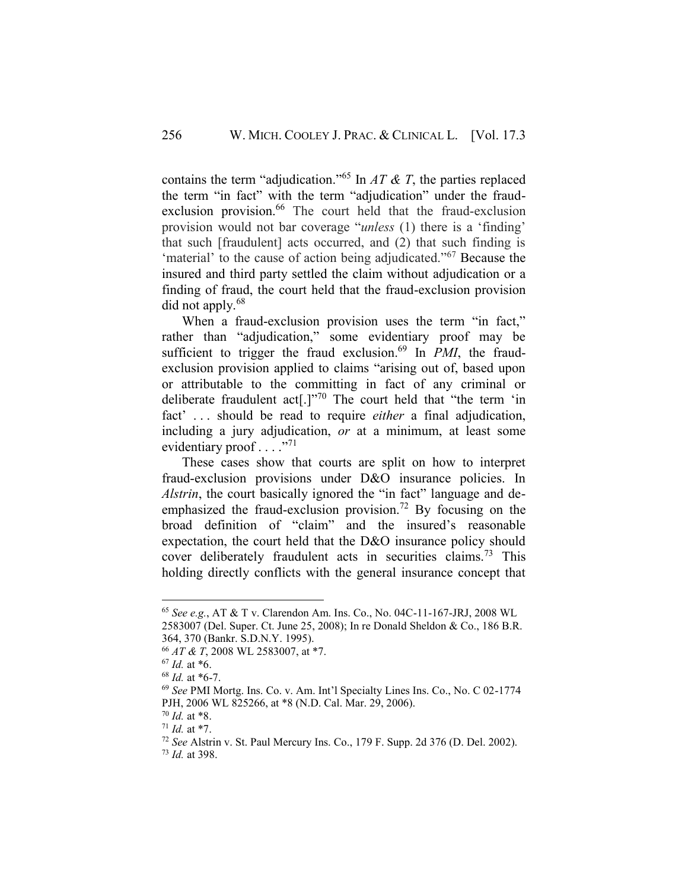contains the term "adjudication."<sup>65</sup> In  $AT \& T$ , the parties replaced the term "in fact" with the term "adjudication" under the fraudexclusion provision.<sup>66</sup> The court held that the fraud-exclusion provision would not bar coverage "*unless* (1) there is a 'finding' that such [fraudulent] acts occurred, and (2) that such finding is 'material' to the cause of action being adjudicated."<sup>67</sup> Because the insured and third party settled the claim without adjudication or a finding of fraud, the court held that the fraud-exclusion provision did not apply.<sup>68</sup>

When a fraud-exclusion provision uses the term "in fact," rather than "adjudication," some evidentiary proof may be sufficient to trigger the fraud exclusion.<sup>69</sup> In *PMI*, the fraudexclusion provision applied to claims "arising out of, based upon or attributable to the committing in fact of any criminal or deliberate fraudulent act[.]"<sup>70</sup> The court held that "the term 'in fact' . . . should be read to require *either* a final adjudication, including a jury adjudication, *or* at a minimum, at least some evidentiary proof . . . . "71"

These cases show that courts are split on how to interpret fraud-exclusion provisions under D&O insurance policies. In *Alstrin*, the court basically ignored the "in fact" language and deemphasized the fraud-exclusion provision.<sup>72</sup> By focusing on the broad definition of "claim" and the insured's reasonable expectation, the court held that the D&O insurance policy should cover deliberately fraudulent acts in securities claims.<sup>73</sup> This holding directly conflicts with the general insurance concept that

<sup>65</sup> *See e.g.*, AT & T v. Clarendon Am. Ins. Co., No. 04C-11-167-JRJ, 2008 WL 2583007 (Del. Super. Ct. June 25, 2008); In re Donald Sheldon & Co., 186 B.R. 364, 370 (Bankr. S.D.N.Y. 1995).

<sup>66</sup> *AT & T*, 2008 WL 2583007, at \*7.

 $67$  *Id.* at  $*6$ .

<sup>68</sup> *Id.* at \*6-7.

<sup>69</sup> *See* PMI Mortg. Ins. Co. v. Am. Int'l Specialty Lines Ins. Co., No. C 02-1774 PJH, 2006 WL 825266, at \*8 (N.D. Cal. Mar. 29, 2006).

<sup>70</sup> *Id.* at \*8.

<sup>71</sup> *Id.* at \*7.

<sup>72</sup> *See* Alstrin v. St. Paul Mercury Ins. Co., 179 F. Supp. 2d 376 (D. Del. 2002).

<sup>73</sup> *Id.* at 398.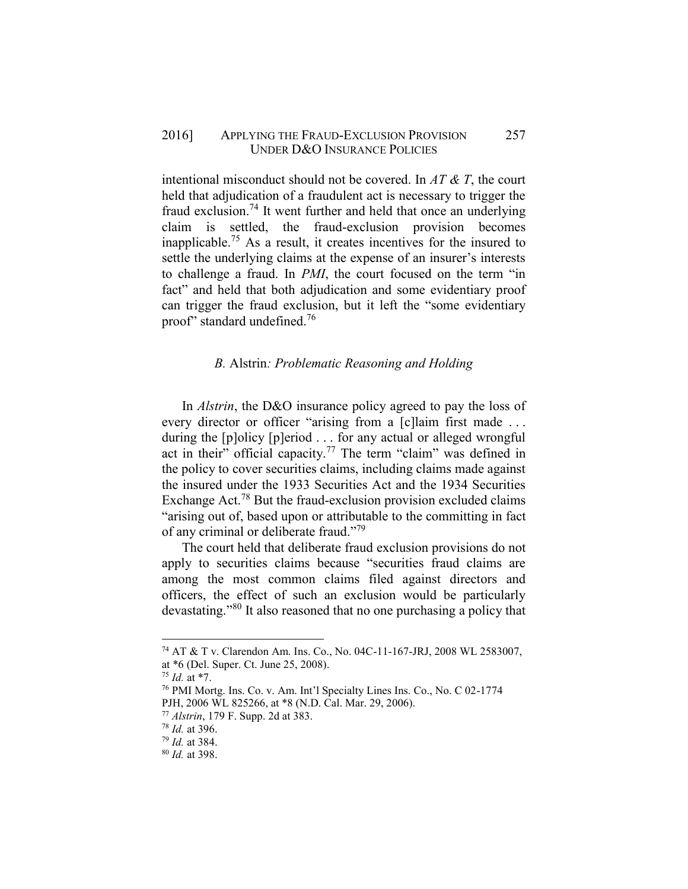#### 2016] APPLYING THE FRAUD-EXCLUSION PROVISION 257 UNDER D&O INSURANCE POLICIES

intentional misconduct should not be covered. In *AT & T*, the court held that adjudication of a fraudulent act is necessary to trigger the fraud exclusion.<sup>74</sup> It went further and held that once an underlying claim is settled, the fraud-exclusion provision becomes inapplicable.<sup>75</sup> As a result, it creates incentives for the insured to settle the underlying claims at the expense of an insurer's interests to challenge a fraud. In *PMI*, the court focused on the term "in fact" and held that both adjudication and some evidentiary proof can trigger the fraud exclusion, but it left the "some evidentiary proof" standard undefined.<sup>76</sup>

#### <span id="page-10-0"></span>*B.* Alstrin*: Problematic Reasoning and Holding*

In *Alstrin*, the D&O insurance policy agreed to pay the loss of every director or officer "arising from a [c]laim first made ... during the [p]olicy [p]eriod . . . for any actual or alleged wrongful act in their" official capacity.<sup>77</sup> The term "claim" was defined in the policy to cover securities claims, including claims made against the insured under the 1933 Securities Act and the 1934 Securities Exchange Act.<sup>78</sup> But the fraud-exclusion provision excluded claims "arising out of, based upon or attributable to the committing in fact of any criminal or deliberate fraud."<sup>79</sup>

The court held that deliberate fraud exclusion provisions do not apply to securities claims because "securities fraud claims are among the most common claims filed against directors and officers, the effect of such an exclusion would be particularly devastating."<sup>80</sup> It also reasoned that no one purchasing a policy that

<sup>74</sup> AT & T v. Clarendon Am. Ins. Co., No. 04C-11-167-JRJ, 2008 WL 2583007, at \*6 (Del. Super. Ct. June 25, 2008).

<sup>75</sup> *Id.* at \*7.

<sup>76</sup> PMI Mortg. Ins. Co. v. Am. Int'l Specialty Lines Ins. Co., No. C 02-1774 PJH, 2006 WL 825266, at \*8 (N.D. Cal. Mar. 29, 2006).

<sup>77</sup> *Alstrin*, 179 F. Supp. 2d at 383.

<sup>78</sup> *Id.* at 396.

<sup>79</sup> *Id.* at 384.

<sup>80</sup> *Id.* at 398.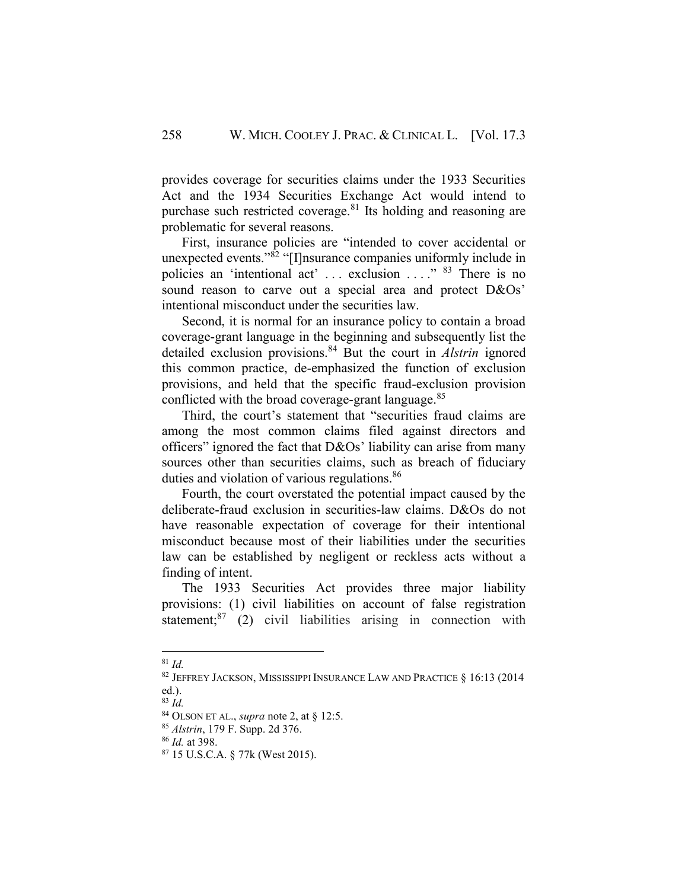provides coverage for securities claims under the 1933 Securities Act and the 1934 Securities Exchange Act would intend to purchase such restricted coverage.<sup>81</sup> Its holding and reasoning are problematic for several reasons.

First, insurance policies are "intended to cover accidental or unexpected events."<sup>82</sup> "[I]nsurance companies uniformly include in policies an 'intentional act' ... exclusion ...." <sup>83</sup> There is no sound reason to carve out a special area and protect D&Os' intentional misconduct under the securities law.

Second, it is normal for an insurance policy to contain a broad coverage-grant language in the beginning and subsequently list the detailed exclusion provisions.<sup>84</sup> But the court in *Alstrin* ignored this common practice, de-emphasized the function of exclusion provisions, and held that the specific fraud-exclusion provision conflicted with the broad coverage-grant language.<sup>85</sup>

Third, the court's statement that "securities fraud claims are among the most common claims filed against directors and officers" ignored the fact that D&Os' liability can arise from many sources other than securities claims, such as breach of fiduciary duties and violation of various regulations.<sup>86</sup>

Fourth, the court overstated the potential impact caused by the deliberate-fraud exclusion in securities-law claims. D&Os do not have reasonable expectation of coverage for their intentional misconduct because most of their liabilities under the securities law can be established by negligent or reckless acts without a finding of intent.

The 1933 Securities Act provides three major liability provisions: (1) civil liabilities on account of false registration statement;<sup>87</sup> (2) civil liabilities arising in connection with

 $\overline{a}$ 

<sup>81</sup> *Id.*

<sup>82</sup> JEFFREY JACKSON, MISSISSIPPI INSURANCE LAW AND PRACTICE § 16:13 (2014 ed.).

<sup>83</sup> *Id.*

<sup>84</sup> OLSON ET AL., *supra* note 2, at § 12:5.

<sup>85</sup> *Alstrin*, 179 F. Supp. 2d 376.

<sup>86</sup> *Id.* at 398.

<sup>87</sup> 15 U.S.C.A. § 77k (West 2015).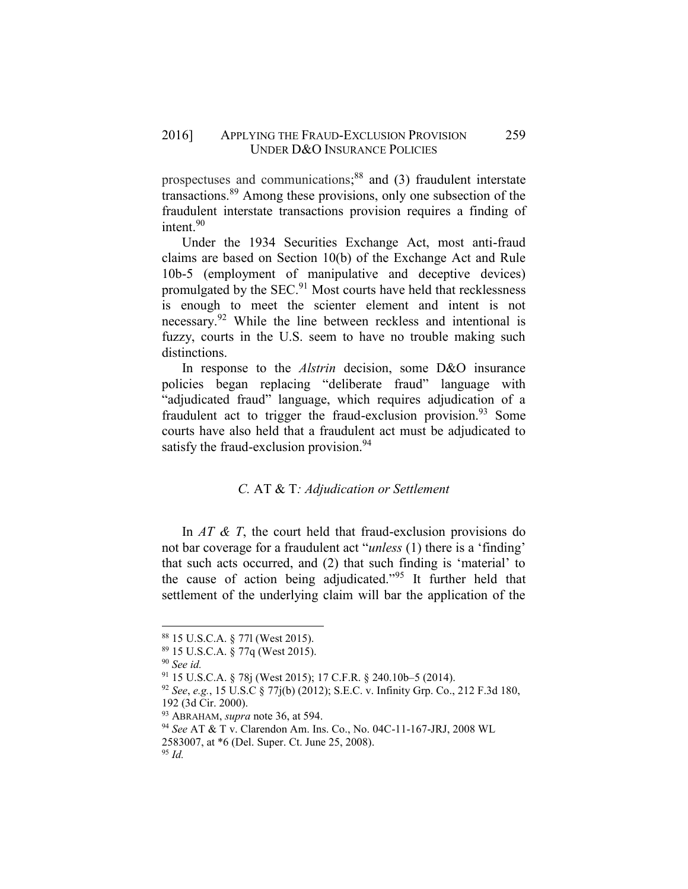prospectuses and communications; <sup>88</sup> and (3) fraudulent interstate transactions.<sup>89</sup> Among these provisions, only one subsection of the fraudulent interstate transactions provision requires a finding of intent.<sup>90</sup>

Under the 1934 Securities Exchange Act, most anti-fraud claims are based on Section 10(b) of the Exchange Act and Rule 10b-5 (employment of manipulative and deceptive devices) promulgated by the SEC.<sup>91</sup> Most courts have held that recklessness is enough to meet the scienter element and intent is not necessary.<sup>92</sup> While the line between reckless and intentional is fuzzy, courts in the U.S. seem to have no trouble making such distinctions.

In response to the *Alstrin* decision, some D&O insurance policies began replacing "deliberate fraud" language with "adjudicated fraud" language, which requires adjudication of a fraudulent act to trigger the fraud-exclusion provision.<sup>93</sup> Some courts have also held that a fraudulent act must be adjudicated to satisfy the fraud-exclusion provision.<sup>94</sup>

### *C.* AT & T*: Adjudication or Settlement*

<span id="page-12-0"></span>In *AT & T*, the court held that fraud-exclusion provisions do not bar coverage for a fraudulent act "*unless* (1) there is a 'finding' that such acts occurred, and (2) that such finding is 'material' to the cause of action being adjudicated."<sup>95</sup> It further held that settlement of the underlying claim will bar the application of the

<sup>88</sup> 15 U.S.C.A. § 77l (West 2015).

<sup>89</sup> 15 U.S.C.A. § 77q (West 2015).

<sup>90</sup> *See id.*

<sup>91</sup> 15 U.S.C.A. § 78j (West 2015); 17 C.F.R. § 240.10b–5 (2014).

<sup>92</sup> *See*, *e.g.*, 15 U.S.C § 77j(b) (2012); S.E.C. v. Infinity Grp. Co., 212 F.3d 180, 192 (3d Cir. 2000).

<sup>93</sup> ABRAHAM, *supra* note 36, at 594.

<sup>94</sup> *See* AT & T v. Clarendon Am. Ins. Co., No. 04C-11-167-JRJ, 2008 WL

<sup>2583007,</sup> at \*6 (Del. Super. Ct. June 25, 2008).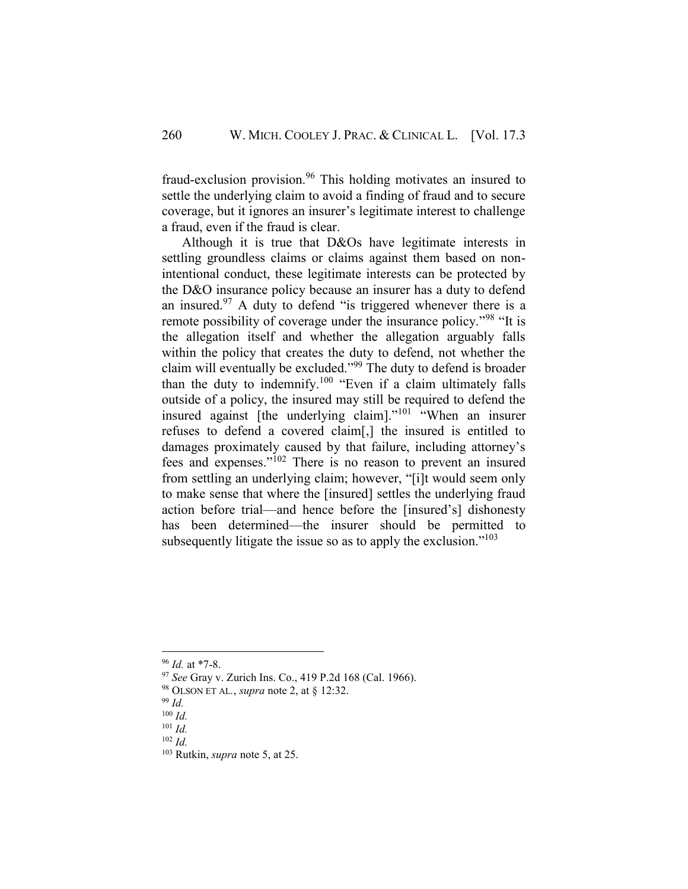fraud-exclusion provision.<sup>96</sup> This holding motivates an insured to settle the underlying claim to avoid a finding of fraud and to secure coverage, but it ignores an insurer's legitimate interest to challenge a fraud, even if the fraud is clear.

Although it is true that D&Os have legitimate interests in settling groundless claims or claims against them based on nonintentional conduct, these legitimate interests can be protected by the D&O insurance policy because an insurer has a duty to defend an insured.<sup>97</sup> A duty to defend "is triggered whenever there is a remote possibility of coverage under the insurance policy."<sup>98</sup> "It is the allegation itself and whether the allegation arguably falls within the policy that creates the duty to defend, not whether the claim will eventually be excluded."<sup>99</sup> The duty to defend is broader than the duty to indemnify.<sup>100</sup> "Even if a claim ultimately falls outside of a policy, the insured may still be required to defend the insured against [the underlying claim]."<sup>101</sup> "When an insurer refuses to defend a covered claim[,] the insured is entitled to damages proximately caused by that failure, including attorney's fees and expenses."<sup>102</sup> There is no reason to prevent an insured from settling an underlying claim; however, "[i]t would seem only to make sense that where the [insured] settles the underlying fraud action before trial—and hence before the [insured's] dishonesty has been determined—the insurer should be permitted to subsequently litigate the issue so as to apply the exclusion."<sup>103</sup>

 $\overline{a}$ 

<sup>96</sup> *Id.* at \*7-8.

<sup>97</sup> *See* Gray v. Zurich Ins. Co., 419 P.2d 168 (Cal. 1966).

<sup>98</sup> OLSON ET AL*.*, *supra* note 2, at § 12:32.

<sup>99</sup> *Id.*

<sup>100</sup> *Id.*

<sup>101</sup> *Id.* <sup>102</sup> *Id.*

<sup>103</sup> Rutkin, *supra* note 5, at 25.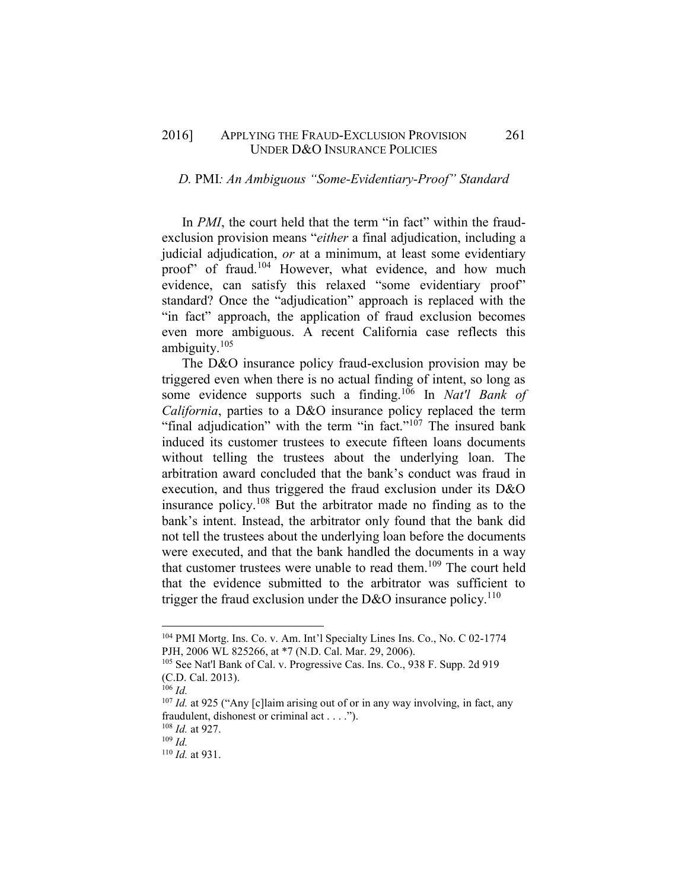#### 2016] APPLYING THE FRAUD-EXCLUSION PROVISION 261 UNDER D&O INSURANCE POLICIES

#### <span id="page-14-0"></span>*D.* PMI*: An Ambiguous "Some-Evidentiary-Proof" Standard*

In *PMI*, the court held that the term "in fact" within the fraudexclusion provision means "*either* a final adjudication, including a judicial adjudication, *or* at a minimum, at least some evidentiary proof" of fraud.<sup>104</sup> However, what evidence, and how much evidence, can satisfy this relaxed "some evidentiary proof" standard? Once the "adjudication" approach is replaced with the "in fact" approach, the application of fraud exclusion becomes even more ambiguous. A recent California case reflects this ambiguity. $105$ 

The D&O insurance policy fraud-exclusion provision may be triggered even when there is no actual finding of intent, so long as some evidence supports such a finding.<sup>106</sup> In *Nat'l Bank of California*, parties to a D&O insurance policy replaced the term "final adjudication" with the term "in fact."<sup>107</sup> The insured bank induced its customer trustees to execute fifteen loans documents without telling the trustees about the underlying loan. The arbitration award concluded that the bank's conduct was fraud in execution, and thus triggered the fraud exclusion under its D&O insurance policy.<sup>108</sup> But the arbitrator made no finding as to the bank's intent. Instead, the arbitrator only found that the bank did not tell the trustees about the underlying loan before the documents were executed, and that the bank handled the documents in a way that customer trustees were unable to read them.<sup>109</sup> The court held that the evidence submitted to the arbitrator was sufficient to trigger the fraud exclusion under the D&O insurance policy.<sup>110</sup>

<sup>104</sup> PMI Mortg. Ins. Co. v. Am. Int'l Specialty Lines Ins. Co., No. C 02-1774 PJH, 2006 WL 825266, at \*7 (N.D. Cal. Mar. 29, 2006).

<sup>105</sup> See Nat'l Bank of Cal. v. Progressive Cas. Ins. Co., 938 F. Supp. 2d 919 (C.D. Cal. 2013).

<sup>106</sup> *Id.*

<sup>107</sup> *Id.* at 925 ("Any [c]laim arising out of or in any way involving, in fact, any fraudulent, dishonest or criminal act . . . .").

<sup>108</sup> *Id.* at 927.

<sup>109</sup> *Id.*

<sup>110</sup> *Id.* at 931.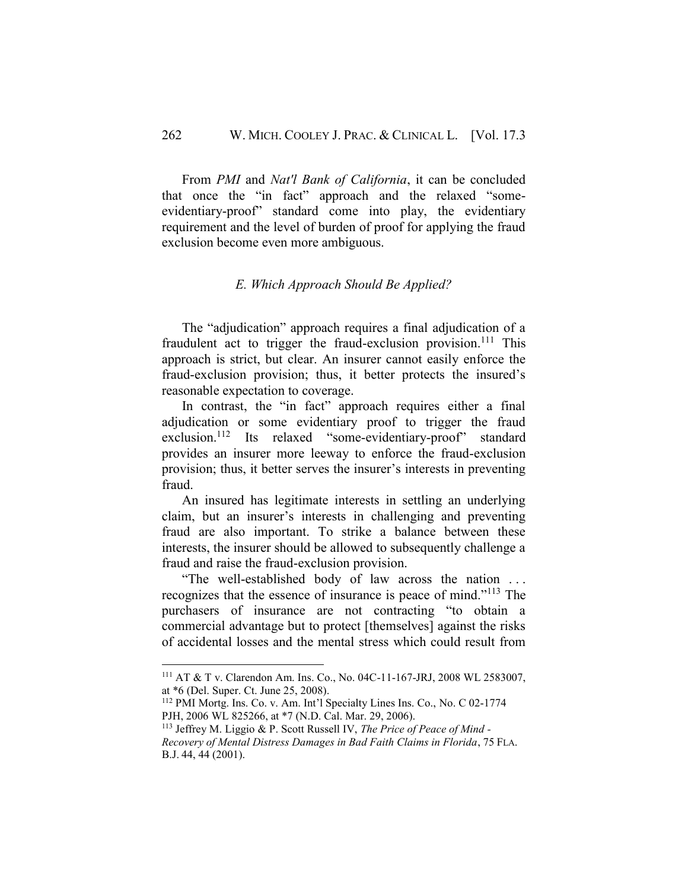From *PMI* and *Nat'l Bank of California*, it can be concluded that once the "in fact" approach and the relaxed "someevidentiary-proof" standard come into play, the evidentiary requirement and the level of burden of proof for applying the fraud exclusion become even more ambiguous.

## *E. Which Approach Should Be Applied?*

<span id="page-15-0"></span>The "adjudication" approach requires a final adjudication of a fraudulent act to trigger the fraud-exclusion provision.<sup>111</sup> This approach is strict, but clear. An insurer cannot easily enforce the fraud-exclusion provision; thus, it better protects the insured's reasonable expectation to coverage.

In contrast, the "in fact" approach requires either a final adjudication or some evidentiary proof to trigger the fraud exclusion.<sup>112</sup> Its relaxed "some-evidentiary-proof" standard provides an insurer more leeway to enforce the fraud-exclusion provision; thus, it better serves the insurer's interests in preventing fraud.

An insured has legitimate interests in settling an underlying claim, but an insurer's interests in challenging and preventing fraud are also important. To strike a balance between these interests, the insurer should be allowed to subsequently challenge a fraud and raise the fraud-exclusion provision.

"The well-established body of law across the nation . . . recognizes that the essence of insurance is peace of mind."<sup>113</sup> The purchasers of insurance are not contracting "to obtain a commercial advantage but to protect [themselves] against the risks of accidental losses and the mental stress which could result from

<sup>111</sup> AT & T v. Clarendon Am. Ins. Co., No. 04C-11-167-JRJ, 2008 WL 2583007, at \*6 (Del. Super. Ct. June 25, 2008).

<sup>112</sup> PMI Mortg. Ins. Co. v. Am. Int'l Specialty Lines Ins. Co., No. C 02-1774 PJH, 2006 WL 825266, at \*7 (N.D. Cal. Mar. 29, 2006).

<sup>113</sup> Jeffrey M. Liggio & P. Scott Russell IV, *The Price of Peace of Mind - Recovery of Mental Distress Damages in Bad Faith Claims in Florida*, 75 FLA. B.J. 44, 44 (2001).